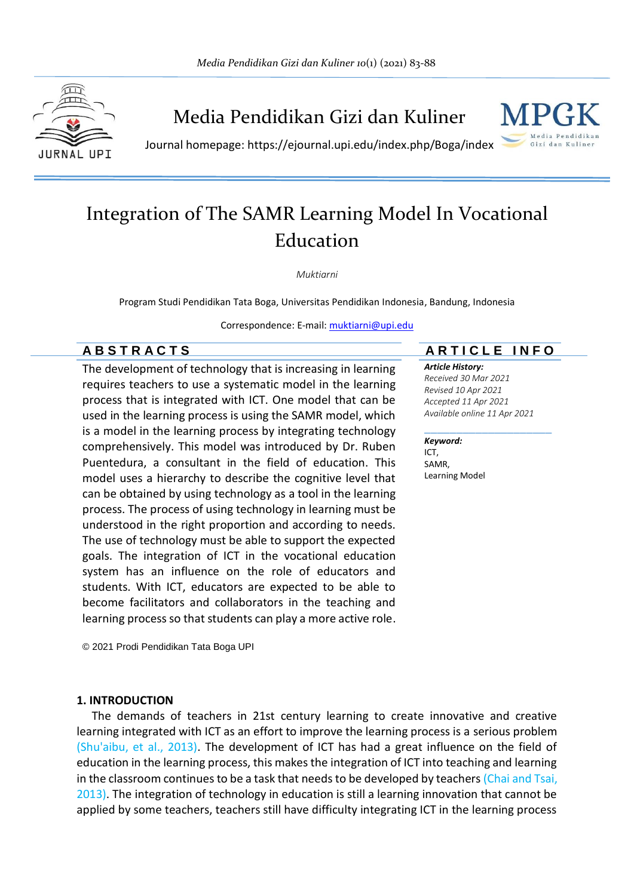

Media Pendidikan Gizi dan Kuliner



Journal homepage: https://ejournal.upi.edu/index.php/Boga/index

# Integration of The SAMR Learning Model In Vocational Education

*Muktiarni* 

Program Studi Pendidikan Tata Boga, Universitas Pendidikan Indonesia, Bandung, Indonesia

Correspondence: E-mail: [muktiarni@upi.edu](mailto:muktiarni@upi.edu)

## **A B S T R A C T S A R T I C L E I N F O**

The development of technology that is increasing in learning requires teachers to use a systematic model in the learning process that is integrated with ICT. One model that can be used in the learning process is using the SAMR model, which is a model in the learning process by integrating technology comprehensively. This model was introduced by Dr. Ruben Puentedura, a consultant in the field of education. This model uses a hierarchy to describe the cognitive level that can be obtained by using technology as a tool in the learning process. The process of using technology in learning must be understood in the right proportion and according to needs. The use of technology must be able to support the expected goals. The integration of ICT in the vocational education system has an influence on the role of educators and students. With ICT, educators are expected to be able to become facilitators and collaborators in the teaching and learning process so that students can play a more active role.

© 2021 Prodi Pendidikan Tata Boga UPI

#### **1. INTRODUCTION**

The demands of teachers in 21st century learning to create innovative and creative learning integrated with ICT as an effort to improve the learning process is a serious problem (Shu'aibu, et al., 2013). The development of ICT has had a great influence on the field of education in the learning process, this makes the integration of ICT into teaching and learning in the classroom continues to be a task that needs to be developed by teachers (Chai and Tsai, 2013). The integration of technology in education is still a learning innovation that cannot be applied by some teachers, teachers still have difficulty integrating ICT in the learning process

\_\_\_\_\_\_\_\_\_\_\_\_\_\_\_\_\_\_\_\_

*Article History: Received 30 Mar 2021 Revised 10 Apr 2021 Accepted 11 Apr 2021 Available online 11 Apr 2021*

#### *Keyword:*

ICT, SAMR, Learning Model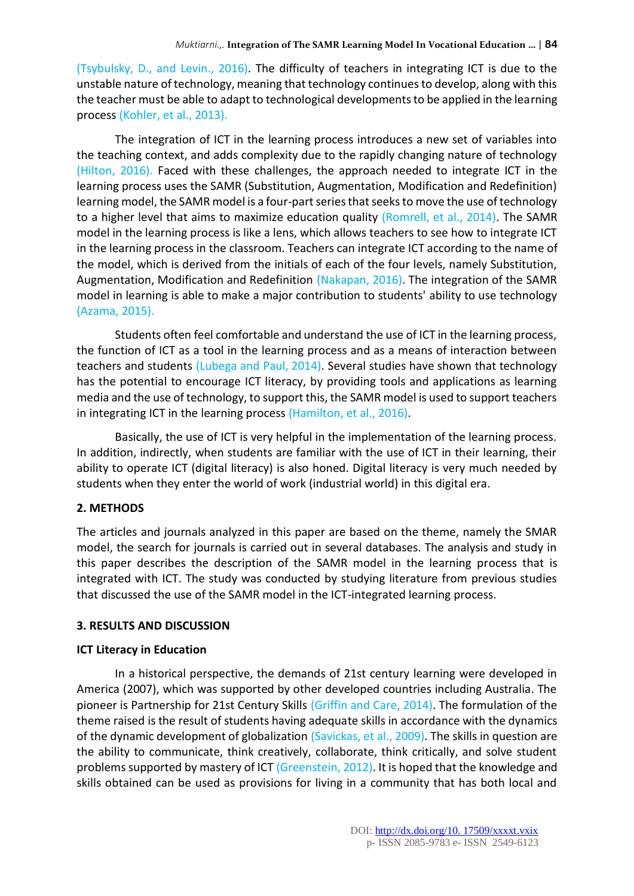(Tsybulsky, D., and Levin., 2016). The difficulty of teachers in integrating ICT is due to the unstable nature of technology, meaning that technology continues to develop, along with this the teacher must be able to adapt to technological developments to be applied in the learning process (Kohler, et al., 2013).

The integration of ICT in the learning process introduces a new set of variables into the teaching context, and adds complexity due to the rapidly changing nature of technology (Hilton, 2016). Faced with these challenges, the approach needed to integrate ICT in the learning process uses the SAMR (Substitution, Augmentation, Modification and Redefinition) learning model, the SAMR model is a four-part series that seeks to move the use of technology to a higher level that aims to maximize education quality (Romrell, et al., 2014). The SAMR model in the learning process is like a lens, which allows teachers to see how to integrate ICT in the learning process in the classroom. Teachers can integrate ICT according to the name of the model, which is derived from the initials of each of the four levels, namely Substitution, Augmentation, Modification and Redefinition (Nakapan, 2016). The integration of the SAMR model in learning is able to make a major contribution to students' ability to use technology (Azama, 2015).

Students often feel comfortable and understand the use of ICT in the learning process, the function of ICT as a tool in the learning process and as a means of interaction between teachers and students (Lubega and Paul, 2014). Several studies have shown that technology has the potential to encourage ICT literacy, by providing tools and applications as learning media and the use of technology, to support this, the SAMR model is used to support teachers in integrating ICT in the learning process (Hamilton, et al., 2016).

Basically, the use of ICT is very helpful in the implementation of the learning process. In addition, indirectly, when students are familiar with the use of ICT in their learning, their ability to operate ICT (digital literacy) is also honed. Digital literacy is very much needed by students when they enter the world of work (industrial world) in this digital era.

### **2. METHODS**

The articles and journals analyzed in this paper are based on the theme, namely the SMAR model, the search for journals is carried out in several databases. The analysis and study in this paper describes the description of the SAMR model in the learning process that is integrated with ICT. The study was conducted by studying literature from previous studies that discussed the use of the SAMR model in the ICT-integrated learning process.

#### **3. RESULTS AND DISCUSSION**

### **ICT Literacy in Education**

In a historical perspective, the demands of 21st century learning were developed in America (2007), which was supported by other developed countries including Australia. The pioneer is Partnership for 21st Century Skills (Griffin and Care, 2014). The formulation of the theme raised is the result of students having adequate skills in accordance with the dynamics of the dynamic development of globalization (Savickas, et al., 2009). The skills in question are the ability to communicate, think creatively, collaborate, think critically, and solve student problems supported by mastery of ICT (Greenstein, 2012). It is hoped that the knowledge and skills obtained can be used as provisions for living in a community that has both local and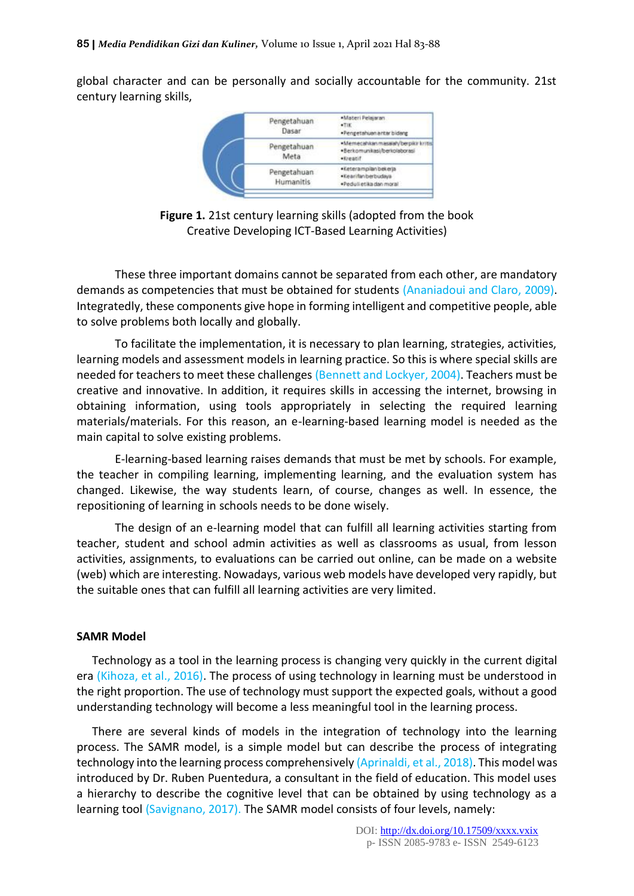global character and can be personally and socially accountable for the community. 21st century learning skills,



**Figure 1.** 21st century learning skills (adopted from the book Creative Developing ICT-Based Learning Activities)

These three important domains cannot be separated from each other, are mandatory demands as competencies that must be obtained for students (Ananiadoui and Claro, 2009). Integratedly, these components give hope in forming intelligent and competitive people, able to solve problems both locally and globally.

To facilitate the implementation, it is necessary to plan learning, strategies, activities, learning models and assessment models in learning practice. So this is where special skills are needed for teachers to meet these challenges (Bennett and Lockyer, 2004). Teachers must be creative and innovative. In addition, it requires skills in accessing the internet, browsing in obtaining information, using tools appropriately in selecting the required learning materials/materials. For this reason, an e-learning-based learning model is needed as the main capital to solve existing problems.

E-learning-based learning raises demands that must be met by schools. For example, the teacher in compiling learning, implementing learning, and the evaluation system has changed. Likewise, the way students learn, of course, changes as well. In essence, the repositioning of learning in schools needs to be done wisely.

The design of an e-learning model that can fulfill all learning activities starting from teacher, student and school admin activities as well as classrooms as usual, from lesson activities, assignments, to evaluations can be carried out online, can be made on a website (web) which are interesting. Nowadays, various web models have developed very rapidly, but the suitable ones that can fulfill all learning activities are very limited.

### **SAMR Model**

Technology as a tool in the learning process is changing very quickly in the current digital era (Kihoza, et al., 2016). The process of using technology in learning must be understood in the right proportion. The use of technology must support the expected goals, without a good understanding technology will become a less meaningful tool in the learning process.

There are several kinds of models in the integration of technology into the learning process. The SAMR model, is a simple model but can describe the process of integrating technology into the learning process comprehensively (Aprinaldi, et al., 2018). This model was introduced by Dr. Ruben Puentedura, a consultant in the field of education. This model uses a hierarchy to describe the cognitive level that can be obtained by using technology as a learning tool (Savignano, 2017). The SAMR model consists of four levels, namely: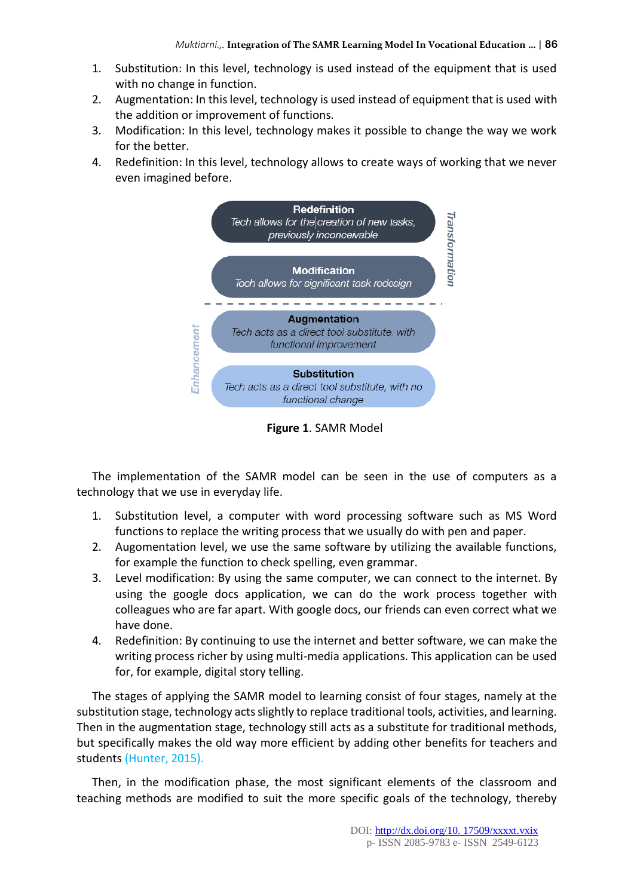- 1. Substitution: In this level, technology is used instead of the equipment that is used with no change in function.
- 2. Augmentation: In this level, technology is used instead of equipment that is used with the addition or improvement of functions.
- 3. Modification: In this level, technology makes it possible to change the way we work for the better.
- 4. Redefinition: In this level, technology allows to create ways of working that we never even imagined before.



**Figure 1**. SAMR Model

The implementation of the SAMR model can be seen in the use of computers as a technology that we use in everyday life.

- 1. Substitution level, a computer with word processing software such as MS Word functions to replace the writing process that we usually do with pen and paper.
- 2. Augomentation level, we use the same software by utilizing the available functions, for example the function to check spelling, even grammar.
- 3. Level modification: By using the same computer, we can connect to the internet. By using the google docs application, we can do the work process together with colleagues who are far apart. With google docs, our friends can even correct what we have done.
- 4. Redefinition: By continuing to use the internet and better software, we can make the writing process richer by using multi-media applications. This application can be used for, for example, digital story telling.

The stages of applying the SAMR model to learning consist of four stages, namely at the substitution stage, technology acts slightly to replace traditional tools, activities, and learning. Then in the augmentation stage, technology still acts as a substitute for traditional methods, but specifically makes the old way more efficient by adding other benefits for teachers and students (Hunter, 2015).

Then, in the modification phase, the most significant elements of the classroom and teaching methods are modified to suit the more specific goals of the technology, thereby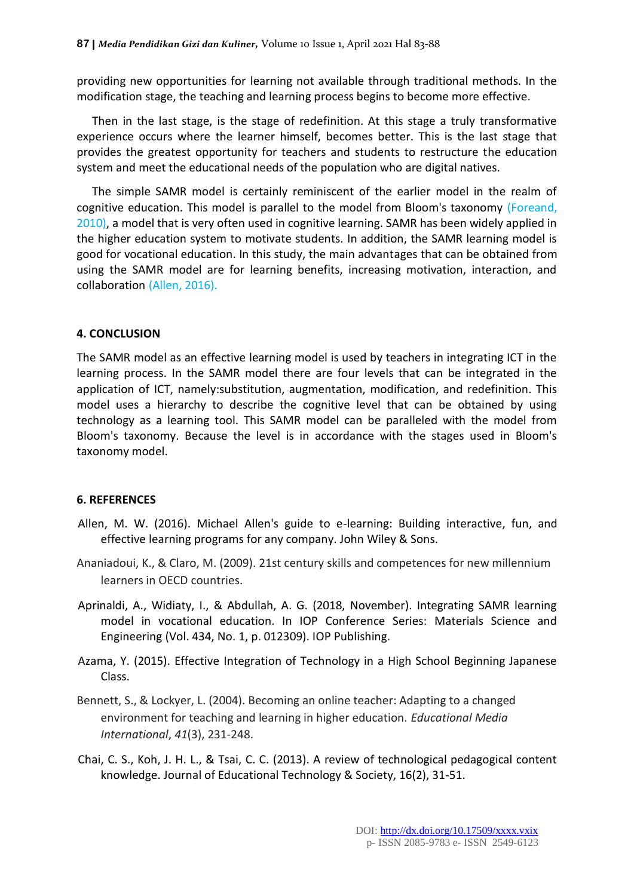providing new opportunities for learning not available through traditional methods. In the modification stage, the teaching and learning process begins to become more effective.

Then in the last stage, is the stage of redefinition. At this stage a truly transformative experience occurs where the learner himself, becomes better. This is the last stage that provides the greatest opportunity for teachers and students to restructure the education system and meet the educational needs of the population who are digital natives.

The simple SAMR model is certainly reminiscent of the earlier model in the realm of cognitive education. This model is parallel to the model from Bloom's taxonomy (Foreand, 2010), a model that is very often used in cognitive learning. SAMR has been widely applied in the higher education system to motivate students. In addition, the SAMR learning model is good for vocational education. In this study, the main advantages that can be obtained from using the SAMR model are for learning benefits, increasing motivation, interaction, and collaboration (Allen, 2016).

#### **4. CONCLUSION**

The SAMR model as an effective learning model is used by teachers in integrating ICT in the learning process. In the SAMR model there are four levels that can be integrated in the application of ICT, namely:substitution, augmentation, modification, and redefinition. This model uses a hierarchy to describe the cognitive level that can be obtained by using technology as a learning tool. This SAMR model can be paralleled with the model from Bloom's taxonomy. Because the level is in accordance with the stages used in Bloom's taxonomy model.

#### **6. REFERENCES**

- Allen, M. W. (2016). Michael Allen's guide to e-learning: Building interactive, fun, and effective learning programs for any company. John Wiley & Sons.
- Ananiadoui, K., & Claro, M. (2009). 21st century skills and competences for new millennium learners in OECD countries.
- Aprinaldi, A., Widiaty, I., & Abdullah, A. G. (2018, November). Integrating SAMR learning model in vocational education. In IOP Conference Series: Materials Science and Engineering (Vol. 434, No. 1, p. 012309). IOP Publishing.
- Azama, Y. (2015). Effective Integration of Technology in a High School Beginning Japanese Class.
- Bennett, S., & Lockyer, L. (2004). Becoming an online teacher: Adapting to a changed environment for teaching and learning in higher education. *Educational Media International*, *41*(3), 231-248.
- Chai, C. S., Koh, J. H. L., & Tsai, C. C. (2013). A review of technological pedagogical content knowledge. Journal of Educational Technology & Society, 16(2), 31-51.